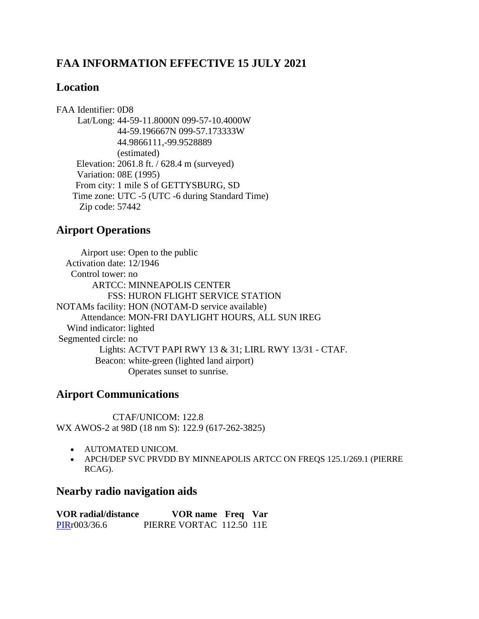# **FAA INFORMATION EFFECTIVE 15 JULY 2021**

### **Location**

FAA Identifier: 0D8 Lat/Long: 44-59-11.8000N 099-57-10.4000W 44-59.196667N 099-57.173333W 44.9866111,-99.9528889 (estimated) Elevation: 2061.8 ft. / 628.4 m (surveyed) Variation: 08E (1995) From city: 1 mile S of GETTYSBURG, SD Time zone: UTC -5 (UTC -6 during Standard Time) Zip code: 57442

## **Airport Operations**

Airport use: Open to the public Activation date: 12/1946 Control tower: no ARTCC: MINNEAPOLIS CENTER FSS: HURON FLIGHT SERVICE STATION NOTAMs facility: HON (NOTAM-D service available) Attendance: MON-FRI DAYLIGHT HOURS, ALL SUN IREG Wind indicator: lighted Segmented circle: no Lights: ACTVT PAPI RWY 13 & 31; LIRL RWY 13/31 - CTAF. Beacon: white-green (lighted land airport) Operates sunset to sunrise.

# **Airport Communications**

CTAF/UNICOM: 122.8 WX AWOS-2 at 98D (18 nm S): 122.9 (617-262-3825)

- AUTOMATED UNICOM.
- APCH/DEP SVC PRVDD BY MINNEAPOLIS ARTCC ON FREQS 125.1/269.1 (PIERRE RCAG).

### **Nearby radio navigation aids**

**VOR radial/distance VOR name Freq Var** [PIRr](https://www.airnav.com/cgi-bin/navaid-info?id=PIR&type=VORTAC&name=PIERRE)003/36.6 PIERRE VORTAC 112.50 11E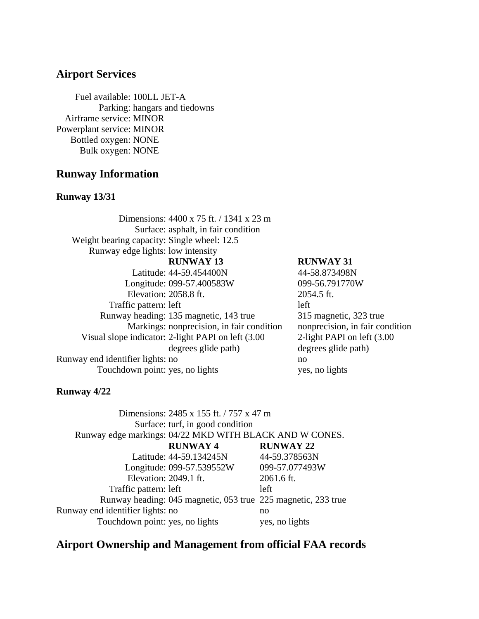### **Airport Services**

Fuel available: 100LL JET-A Parking: hangars and tiedowns Airframe service: MINOR Powerplant service: MINOR Bottled oxygen: NONE Bulk oxygen: NONE

### **Runway Information**

#### **Runway 13/31**

|                                             | Dimensions: 4400 x 75 ft. / 1341 x 23 m             |                                 |
|---------------------------------------------|-----------------------------------------------------|---------------------------------|
|                                             | Surface: asphalt, in fair condition                 |                                 |
| Weight bearing capacity: Single wheel: 12.5 |                                                     |                                 |
| Runway edge lights: low intensity           |                                                     |                                 |
|                                             | <b>RUNWAY 13</b>                                    | <b>RUNWAY 31</b>                |
|                                             | Latitude: 44-59.454400N                             | 44-58.873498N                   |
|                                             | Longitude: 099-57.400583W                           | 099-56.791770W                  |
| Elevation: 2058.8 ft.                       |                                                     | 2054.5 ft.                      |
| Traffic pattern: left                       |                                                     | left                            |
|                                             | Runway heading: 135 magnetic, 143 true              | 315 magnetic, 323 true          |
|                                             | Markings: nonprecision, in fair condition           | nonprecision, in fair condition |
|                                             | Visual slope indicator: 2-light PAPI on left (3.00) | 2-light PAPI on left (3.00)     |
|                                             | degrees glide path)                                 | degrees glide path)             |
| Runway end identifier lights: no            |                                                     | no                              |
| Touchdown point: yes, no lights             |                                                     | yes, no lights                  |

#### **Runway 4/22**

| Dimensions: 2485 x 155 ft. / 757 x 47 m |                                                               |                  |  |  |
|-----------------------------------------|---------------------------------------------------------------|------------------|--|--|
| Surface: turf, in good condition        |                                                               |                  |  |  |
|                                         | Runway edge markings: 04/22 MKD WITH BLACK AND W CONES.       |                  |  |  |
|                                         | <b>RUNWAY 4</b>                                               | <b>RUNWAY 22</b> |  |  |
|                                         | Latitude: 44-59.134245N                                       | 44-59.378563N    |  |  |
|                                         | Longitude: 099-57.539552W                                     | 099-57.077493W   |  |  |
| Elevation: 2049.1 ft.                   |                                                               | 2061.6 ft.       |  |  |
| Traffic pattern: left                   |                                                               | left             |  |  |
|                                         | Runway heading: 045 magnetic, 053 true 225 magnetic, 233 true |                  |  |  |
| Runway end identifier lights: no        |                                                               | no               |  |  |
| Touchdown point: yes, no lights         |                                                               | yes, no lights   |  |  |

## **Airport Ownership and Management from official FAA records**